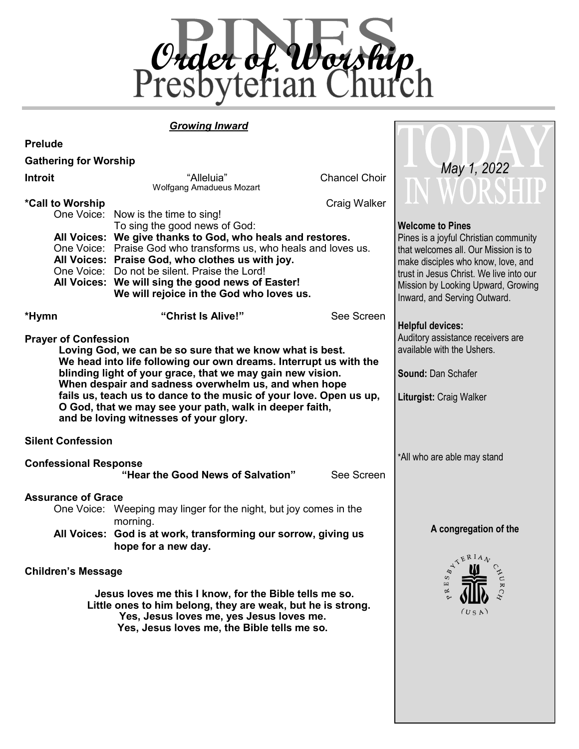

**MAI** 

#### *Growing Inward*

| <b>Prelude</b>                                                                                                                                                                                                                                |                                                                                                                                                                                                                                                                                                                                                                                                                                |                                                                                                                         |                                                                                                                                                                                                                                                                 |
|-----------------------------------------------------------------------------------------------------------------------------------------------------------------------------------------------------------------------------------------------|--------------------------------------------------------------------------------------------------------------------------------------------------------------------------------------------------------------------------------------------------------------------------------------------------------------------------------------------------------------------------------------------------------------------------------|-------------------------------------------------------------------------------------------------------------------------|-----------------------------------------------------------------------------------------------------------------------------------------------------------------------------------------------------------------------------------------------------------------|
| <b>Gathering for Worship</b>                                                                                                                                                                                                                  |                                                                                                                                                                                                                                                                                                                                                                                                                                |                                                                                                                         | May 1, 2022                                                                                                                                                                                                                                                     |
| <b>Introit</b>                                                                                                                                                                                                                                | "Alleluia"<br><b>Wolfgang Amadueus Mozart</b>                                                                                                                                                                                                                                                                                                                                                                                  | <b>Chancel Choir</b>                                                                                                    |                                                                                                                                                                                                                                                                 |
| *Call to Worship                                                                                                                                                                                                                              | One Voice: Now is the time to sing!<br>To sing the good news of God:<br>All Voices: We give thanks to God, who heals and restores.<br>One Voice: Praise God who transforms us, who heals and loves us.<br>All Voices: Praise God, who clothes us with joy.<br>One Voice: Do not be silent. Praise the Lord!<br>All Voices: We will sing the good news of Easter!<br>We will rejoice in the God who loves us.                   | Craig Walker                                                                                                            | <b>Welcome to Pines</b><br>Pines is a joyful Christian community<br>that welcomes all. Our Mission is to<br>make disciples who know, love, and<br>trust in Jesus Christ. We live into our<br>Mission by Looking Upward, Growing<br>Inward, and Serving Outward. |
| *Hymn                                                                                                                                                                                                                                         | "Christ Is Alive!"                                                                                                                                                                                                                                                                                                                                                                                                             | See Screen                                                                                                              | <b>Helpful devices:</b>                                                                                                                                                                                                                                         |
| <b>Prayer of Confession</b>                                                                                                                                                                                                                   | Loving God, we can be so sure that we know what is best.<br>We head into life following our own dreams. Interrupt us with the<br>blinding light of your grace, that we may gain new vision.<br>When despair and sadness overwhelm us, and when hope<br>fails us, teach us to dance to the music of your love. Open us up,<br>O God, that we may see your path, walk in deeper faith,<br>and be loving witnesses of your glory. | Auditory assistance receivers are<br>available with the Ushers.<br><b>Sound: Dan Schafer</b><br>Liturgist: Craig Walker |                                                                                                                                                                                                                                                                 |
| <b>Silent Confession</b>                                                                                                                                                                                                                      |                                                                                                                                                                                                                                                                                                                                                                                                                                |                                                                                                                         |                                                                                                                                                                                                                                                                 |
| <b>Confessional Response</b><br>"Hear the Good News of Salvation"                                                                                                                                                                             |                                                                                                                                                                                                                                                                                                                                                                                                                                | See Screen                                                                                                              | *All who are able may stand                                                                                                                                                                                                                                     |
| <b>Assurance of Grace</b>                                                                                                                                                                                                                     | One Voice: Weeping may linger for the night, but joy comes in the<br>morning.<br>All Voices: God is at work, transforming our sorrow, giving us<br>hope for a new day.                                                                                                                                                                                                                                                         |                                                                                                                         | A congregation of the                                                                                                                                                                                                                                           |
| <b>Children's Message</b><br>Jesus loves me this I know, for the Bible tells me so.<br>Little ones to him belong, they are weak, but he is strong.<br>Yes, Jesus loves me, yes Jesus loves me.<br>Yes, Jesus loves me, the Bible tells me so. |                                                                                                                                                                                                                                                                                                                                                                                                                                |                                                                                                                         | ATERIAL<br>$c^{NUR}$<br>(US A)                                                                                                                                                                                                                                  |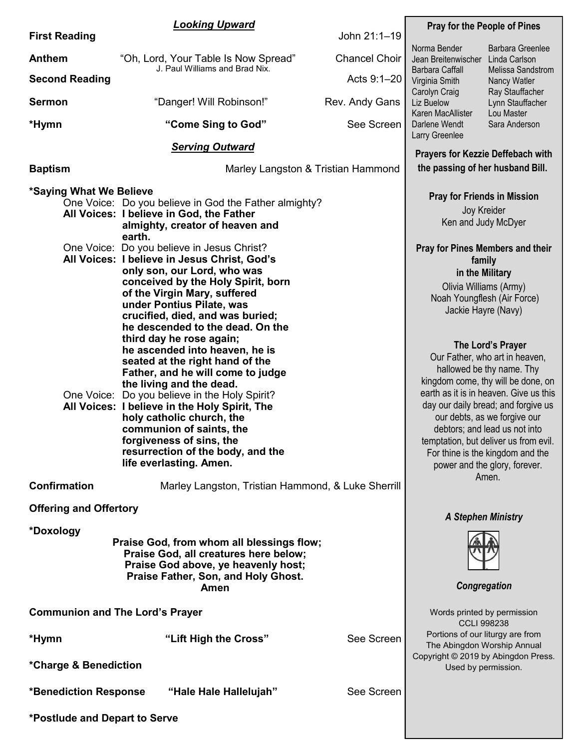|                                        | <b>Looking Upward</b>                                                                                                                                                                                                                                                                                                                                                                                                                                                                                                                                                                                                                                                                                                                                                                                                                                                           | <b>Pray for the People of Pines</b> |                                                                                                                                                                                                   |                                                                                                                                                                                                                                                                                                                                                                                                                       |  |
|----------------------------------------|---------------------------------------------------------------------------------------------------------------------------------------------------------------------------------------------------------------------------------------------------------------------------------------------------------------------------------------------------------------------------------------------------------------------------------------------------------------------------------------------------------------------------------------------------------------------------------------------------------------------------------------------------------------------------------------------------------------------------------------------------------------------------------------------------------------------------------------------------------------------------------|-------------------------------------|---------------------------------------------------------------------------------------------------------------------------------------------------------------------------------------------------|-----------------------------------------------------------------------------------------------------------------------------------------------------------------------------------------------------------------------------------------------------------------------------------------------------------------------------------------------------------------------------------------------------------------------|--|
| <b>First Reading</b>                   |                                                                                                                                                                                                                                                                                                                                                                                                                                                                                                                                                                                                                                                                                                                                                                                                                                                                                 | John 21:1-19                        |                                                                                                                                                                                                   |                                                                                                                                                                                                                                                                                                                                                                                                                       |  |
| <b>Anthem</b>                          | "Oh, Lord, Your Table Is Now Spread"<br>J. Paul Williams and Brad Nix.                                                                                                                                                                                                                                                                                                                                                                                                                                                                                                                                                                                                                                                                                                                                                                                                          | <b>Chancel Choir</b>                | Norma Bender<br>Jean Breitenwischer<br>Barbara Caffall                                                                                                                                            | <b>Barbara Greenlee</b><br>Linda Carlson<br>Melissa Sandstrom                                                                                                                                                                                                                                                                                                                                                         |  |
| <b>Second Reading</b>                  |                                                                                                                                                                                                                                                                                                                                                                                                                                                                                                                                                                                                                                                                                                                                                                                                                                                                                 | Acts 9:1-20                         | Virginia Smith                                                                                                                                                                                    | Nancy Watler                                                                                                                                                                                                                                                                                                                                                                                                          |  |
| <b>Sermon</b>                          | "Danger! Will Robinson!"                                                                                                                                                                                                                                                                                                                                                                                                                                                                                                                                                                                                                                                                                                                                                                                                                                                        | Rev. Andy Gans                      | Carolyn Craig<br>Liz Buelow<br>Karen MacAllister                                                                                                                                                  | Ray Stauffacher<br>Lynn Stauffacher<br>Lou Master                                                                                                                                                                                                                                                                                                                                                                     |  |
| *Hymn                                  | "Come Sing to God"                                                                                                                                                                                                                                                                                                                                                                                                                                                                                                                                                                                                                                                                                                                                                                                                                                                              | See Screen                          | Darlene Wendt<br>Larry Greenlee                                                                                                                                                                   | Sara Anderson                                                                                                                                                                                                                                                                                                                                                                                                         |  |
|                                        | <b>Serving Outward</b>                                                                                                                                                                                                                                                                                                                                                                                                                                                                                                                                                                                                                                                                                                                                                                                                                                                          |                                     | <b>Prayers for Kezzie Deffebach with</b>                                                                                                                                                          |                                                                                                                                                                                                                                                                                                                                                                                                                       |  |
| <b>Baptism</b>                         | Marley Langston & Tristian Hammond                                                                                                                                                                                                                                                                                                                                                                                                                                                                                                                                                                                                                                                                                                                                                                                                                                              |                                     |                                                                                                                                                                                                   | the passing of her husband Bill.                                                                                                                                                                                                                                                                                                                                                                                      |  |
| *Saying What We Believe                | One Voice: Do you believe in God the Father almighty?<br>All Voices: I believe in God, the Father<br>almighty, creator of heaven and<br>earth.<br>One Voice: Do you believe in Jesus Christ?<br>All Voices: I believe in Jesus Christ, God's<br>only son, our Lord, who was<br>conceived by the Holy Spirit, born<br>of the Virgin Mary, suffered<br>under Pontius Pilate, was<br>crucified, died, and was buried;<br>he descended to the dead. On the<br>third day he rose again;<br>he ascended into heaven, he is<br>seated at the right hand of the<br>Father, and he will come to judge<br>the living and the dead.<br>One Voice: Do you believe in the Holy Spirit?<br>All Voices: I believe in the Holy Spirit, The<br>holy catholic church, the<br>communion of saints, the<br>forgiveness of sins, the<br>resurrection of the body, and the<br>life everlasting. Amen. |                                     | <b>Pray for Friends in Mission</b><br>Joy Kreider<br>Ken and Judy McDyer<br><b>Pray for Pines Members and their</b><br>family<br>in the Military<br>Olivia Williams (Army)<br>Jackie Hayre (Navy) | Noah Youngflesh (Air Force)<br>The Lord's Prayer<br>Our Father, who art in heaven,<br>hallowed be thy name. Thy<br>kingdom come, thy will be done, on<br>earth as it is in heaven. Give us this<br>day our daily bread; and forgive us<br>our debts, as we forgive our<br>debtors; and lead us not into<br>temptation, but deliver us from evil.<br>For thine is the kingdom and the<br>power and the glory, forever. |  |
| <b>Confirmation</b>                    | Marley Langston, Tristian Hammond, & Luke Sherrill                                                                                                                                                                                                                                                                                                                                                                                                                                                                                                                                                                                                                                                                                                                                                                                                                              |                                     |                                                                                                                                                                                                   | Amen.                                                                                                                                                                                                                                                                                                                                                                                                                 |  |
| <b>Offering and Offertory</b>          |                                                                                                                                                                                                                                                                                                                                                                                                                                                                                                                                                                                                                                                                                                                                                                                                                                                                                 |                                     | <b>A Stephen Ministry</b>                                                                                                                                                                         |                                                                                                                                                                                                                                                                                                                                                                                                                       |  |
| *Doxology                              | Praise God, from whom all blessings flow;<br>Praise God, all creatures here below;<br>Praise God above, ye heavenly host;<br>Praise Father, Son, and Holy Ghost.<br>Amen                                                                                                                                                                                                                                                                                                                                                                                                                                                                                                                                                                                                                                                                                                        |                                     | Congregation                                                                                                                                                                                      |                                                                                                                                                                                                                                                                                                                                                                                                                       |  |
| <b>Communion and The Lord's Prayer</b> | Words printed by permission<br><b>CCLI 998238</b>                                                                                                                                                                                                                                                                                                                                                                                                                                                                                                                                                                                                                                                                                                                                                                                                                               |                                     |                                                                                                                                                                                                   |                                                                                                                                                                                                                                                                                                                                                                                                                       |  |
| *Hymn<br>*Charge & Benediction         | "Lift High the Cross"                                                                                                                                                                                                                                                                                                                                                                                                                                                                                                                                                                                                                                                                                                                                                                                                                                                           | See Screen                          | Portions of our liturgy are from<br>The Abingdon Worship Annual<br>Copyright © 2019 by Abingdon Press.<br>Used by permission.                                                                     |                                                                                                                                                                                                                                                                                                                                                                                                                       |  |
| <b>*Benediction Response</b>           | "Hale Hale Hallelujah"                                                                                                                                                                                                                                                                                                                                                                                                                                                                                                                                                                                                                                                                                                                                                                                                                                                          | See Screen                          |                                                                                                                                                                                                   |                                                                                                                                                                                                                                                                                                                                                                                                                       |  |
|                                        |                                                                                                                                                                                                                                                                                                                                                                                                                                                                                                                                                                                                                                                                                                                                                                                                                                                                                 |                                     |                                                                                                                                                                                                   |                                                                                                                                                                                                                                                                                                                                                                                                                       |  |
| *Postlude and Depart to Serve          |                                                                                                                                                                                                                                                                                                                                                                                                                                                                                                                                                                                                                                                                                                                                                                                                                                                                                 |                                     |                                                                                                                                                                                                   |                                                                                                                                                                                                                                                                                                                                                                                                                       |  |

г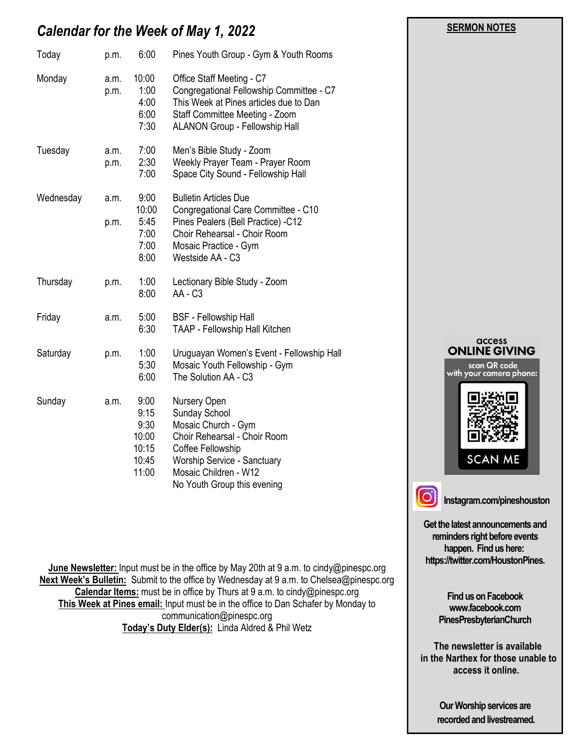## *Calendar for the Week of May 1, 2022*

| Today     | p.m.         | 6:00                                                     | Pines Youth Group - Gym & Youth Rooms                                                                                                                                                            |  |
|-----------|--------------|----------------------------------------------------------|--------------------------------------------------------------------------------------------------------------------------------------------------------------------------------------------------|--|
| Monday    | a.m.<br>p.m. | 10:00<br>1:00<br>4:00<br>6:00<br>7:30                    | Office Staff Meeting - C7<br>Congregational Fellowship Committee - C7<br>This Week at Pines articles due to Dan<br>Staff Committee Meeting - Zoom<br>ALANON Group - Fellowship Hall              |  |
| Tuesday   | a.m.<br>p.m. | 7:00<br>2:30<br>7:00                                     | Men's Bible Study - Zoom<br>Weekly Prayer Team - Prayer Room<br>Space City Sound - Fellowship Hall                                                                                               |  |
| Wednesday | a.m.<br>p.m. | 9:00<br>10:00<br>5:45<br>7:00<br>7:00<br>8:00            | <b>Bulletin Articles Due</b><br>Congregational Care Committee - C10<br>Pines Pealers (Bell Practice) -C12<br>Choir Rehearsal - Choir Room<br>Mosaic Practice - Gym<br>Westside AA - C3           |  |
| Thursday  | p.m.         | 1:00<br>8:00                                             | Lectionary Bible Study - Zoom<br>AA - C <sub>3</sub>                                                                                                                                             |  |
| Friday    | a.m.         | 5:00<br>6:30                                             | <b>BSF</b> - Fellowship Hall<br><b>TAAP - Fellowship Hall Kitchen</b>                                                                                                                            |  |
| Saturday  | p.m.         | 1:00<br>5:30<br>6:00                                     | Uruguayan Women's Event - Fellowship Hall<br>Mosaic Youth Fellowship - Gym<br>The Solution AA - C3                                                                                               |  |
| Sunday    | a.m.         | 9:00<br>9:15<br>9:30<br>10:00<br>10:15<br>10:45<br>11:00 | Nursery Open<br>Sunday School<br>Mosaic Church - Gym<br>Choir Rehearsal - Choir Room<br>Coffee Fellowship<br>Worship Service - Sanctuary<br>Mosaic Children - W12<br>No Youth Group this evening |  |

**June Newsletter:** Input must be in the office by May 20th at 9 a.m. to cindy@pinespc.org **Next Week's Bulletin:** Submit to the office by Wednesday at 9 a.m. to Chelsea@pinespc.org **Calendar Items:** must be in office by Thurs at 9 a.m. to cindy@pinespc.org **This Week at Pines email:** Input must be in the office to Dan Schafer by Monday to communication@pinespc.org **Today's Duty Elder(s):** Linda Aldred & Phil Wetz

access **ONLINE GIVING** scan QR code<br>with your camera phone:

 **SERMON NOTES** 



**Instagram.com/pineshouston**

**SCAN ME** 

**Get the latest announcements and reminders right before events happen. Find us here: https://twitter.com/HoustonPines.** 

> **Find us on Facebook www.facebook.com PinesPresbyterianChurch**

 **The newsletter is available in the Narthex for those unable to access it online.**

> **Our Worship services are recorded and livestreamed.**